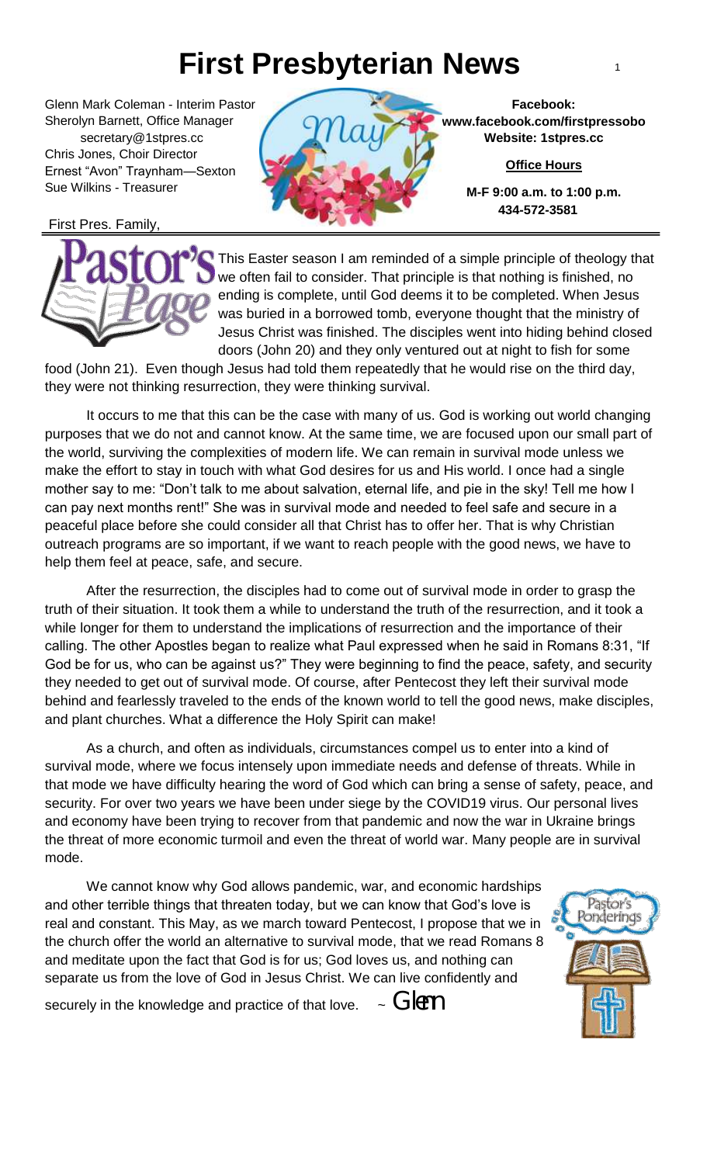## **First Presbyterian News** <sup>1</sup>

Glenn Mark Coleman - Interim Pastor Sherolyn Barnett, Office Manager secretary@1stpres.cc Chris Jones, Choir Director Ernest "Avon" Traynham—Sexton Sue Wilkins - Treasurer

First Pres. Family,



**Facebook: www.facebook.com/firstpressobo Website: 1stpres.cc**

**Office Hours**

**M-F 9:00 a.m. to 1:00 p.m. 434-572-3581**

This Easter season I am reminded of a simple principle of theology that we often fail to consider. That principle is that nothing is finished, no ending is complete, until God deems it to be completed. When Jesus was buried in a borrowed tomb, everyone thought that the ministry of Jesus Christ was finished. The disciples went into hiding behind closed doors (John 20) and they only ventured out at night to fish for some

food (John 21). Even though Jesus had told them repeatedly that he would rise on the third day, they were not thinking resurrection, they were thinking survival.

 outreach programs are so important, if we want to reach people with the good news, we have to It occurs to me that this can be the case with many of us. God is working out world changing purposes that we do not and cannot know. At the same time, we are focused upon our small part of the world, surviving the complexities of modern life. We can remain in survival mode unless we make the effort to stay in touch with what God desires for us and His world. I once had a single mother say to me: "Don't talk to me about salvation, eternal life, and pie in the sky! Tell me how I can pay next months rent!" She was in survival mode and needed to feel safe and secure in a peaceful place before she could consider all that Christ has to offer her. That is why Christian help them feel at peace, safe, and secure.

 and plant churches. What a difference the Holy Spirit can make! After the resurrection, the disciples had to come out of survival mode in order to grasp the truth of their situation. It took them a while to understand the truth of the resurrection, and it took a while longer for them to understand the implications of resurrection and the importance of their calling. The other Apostles began to realize what Paul expressed when he said in Romans 8:31, "If God be for us, who can be against us?" They were beginning to find the peace, safety, and security they needed to get out of survival mode. Of course, after Pentecost they left their survival mode behind and fearlessly traveled to the ends of the known world to tell the good news, make disciples,

As a church, and often as individuals, circumstances compel us to enter into a kind of survival mode, where we focus intensely upon immediate needs and defense of threats. While in that mode we have difficulty hearing the word of God which can bring a sense of safety, peace, and security. For over two years we have been under siege by the COVID19 virus. Our personal lives and economy have been trying to recover from that pandemic and now the war in Ukraine brings the threat of more economic turmoil and even the threat of world war. Many people are in survival mode.

We cannot know why God allows pandemic, war, and economic hardships and other terrible things that threaten today, but we can know that God's love is real and constant. This May, as we march toward Pentecost, I propose that we in the church offer the world an alternative to survival mode, that we read Romans 8 and meditate upon the fact that God is for us; God loves us, and nothing can separate us from the love of God in Jesus Christ. We can live confidently and



securely in the knowledge and practice of that love.  $\sim$  GIPM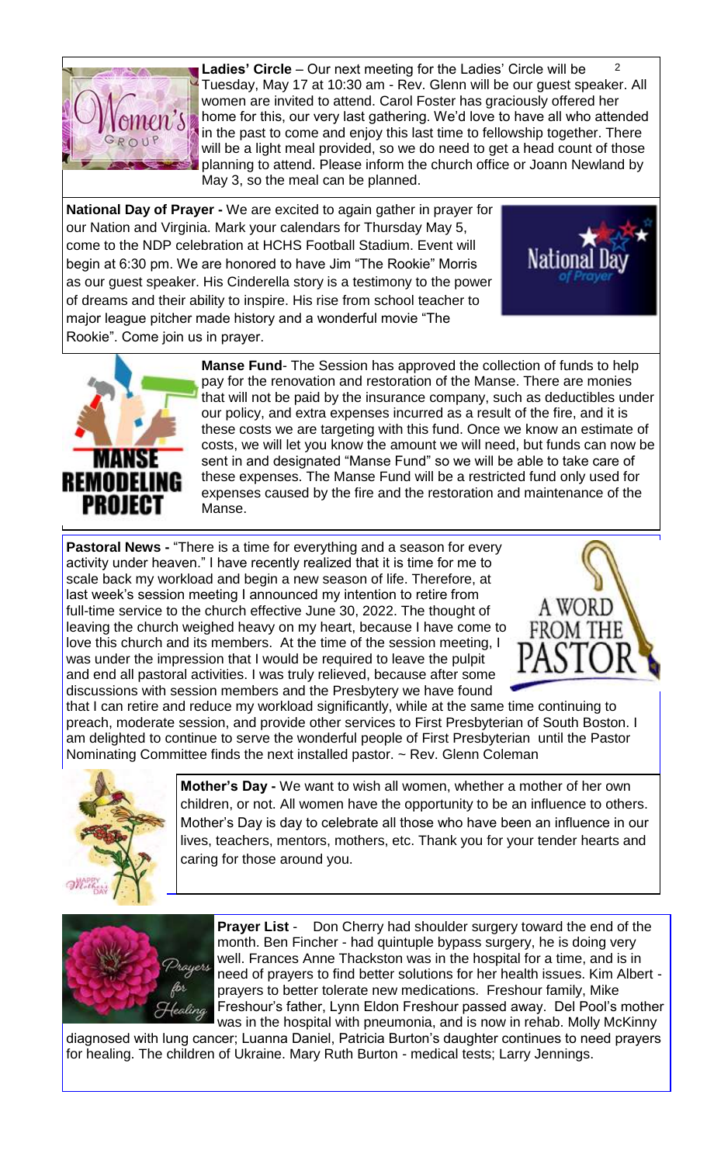

 $\overline{2}$ **Ladies' Circle** – Our next meeting for the Ladies' Circle will be Tuesday, May 17 at 10:30 am - Rev. Glenn will be our guest speaker. All women are invited to attend. Carol Foster has graciously offered her home for this, our very last gathering. We'd love to have all who attended in the past to come and enjoy this last time to fellowship together. There will be a light meal provided, so we do need to get a head count of those planning to attend. Please inform the church office or Joann Newland by May 3, so the meal can be planned.

**National Day of Prayer -** We are excited to again gather in prayer for our Nation and Virginia. Mark your calendars for Thursday May 5, come to the NDP celebration at HCHS Football Stadium. Event will begin at 6:30 pm. We are honored to have Jim "The Rookie" Morris as our guest speaker. His Cinderella story is a testimony to the power of dreams and their ability to inspire. His rise from school teacher to major league pitcher made history and a wonderful movie "The Rookie". Come join us in prayer.





**Manse Fund**- The Session has approved the collection of funds to help pay for the renovation and restoration of the Manse. There are monies that will not be paid by the insurance company, such as deductibles under our policy, and extra expenses incurred as a result of the fire, and it is these costs we are targeting with this fund. Once we know an estimate of costs, we will let you know the amount we will need, but funds can now be sent in and designated "Manse Fund" so we will be able to take care of these expenses. The Manse Fund will be a restricted fund only used for expenses caused by the fire and the restoration and maintenance of the Manse.

**Pastoral News -** "There is a time for everything and a season for every activity under heaven." I have recently realized that it is time for me to scale back my workload and begin a new season of life. Therefore, at last week's session meeting I announced my intention to retire from full-time service to the church effective June 30, 2022. The thought of leaving the church weighed heavy on my heart, because I have come to love this church and its members. At the time of the session meeting, I was under the impression that I would be required to leave the pulpit and end all pastoral activities. I was truly relieved, because after some discussions with session members and the Presbytery we have found



that I can retire and reduce my workload significantly, while at the same time continuing to preach, moderate session, and provide other services to First Presbyterian of South Boston. I am delighted to continue to serve the wonderful people of First Presbyterian until the Pastor Nominating Committee finds the next installed pastor. ~ Rev. Glenn Coleman



**Mother's Day -** We want to wish all women, whether a mother of her own children, or not. All women have the opportunity to be an influence to others. Mother's Day is day to celebrate all those who have been an influence in our lives, teachers, mentors, mothers, etc. Thank you for your tender hearts and caring for those around you.



**Prayer List** - Don Cherry had shoulder surgery toward the end of the month. Ben Fincher - had quintuple bypass surgery, he is doing very well. Frances Anne Thackston was in the hospital for a time, and is in need of prayers to find better solutions for her health issues. Kim Albert prayers to better tolerate new medications. Freshour family, Mike Freshour's father, Lynn Eldon Freshour passed away. Del Pool's mother

was in the hospital with pneumonia, and is now in rehab. Molly McKinny diagnosed with lung cancer; Luanna Daniel, Patricia Burton's daughter continues to need prayers for healing. The children of Ukraine. Mary Ruth Burton - medical tests; Larry Jennings.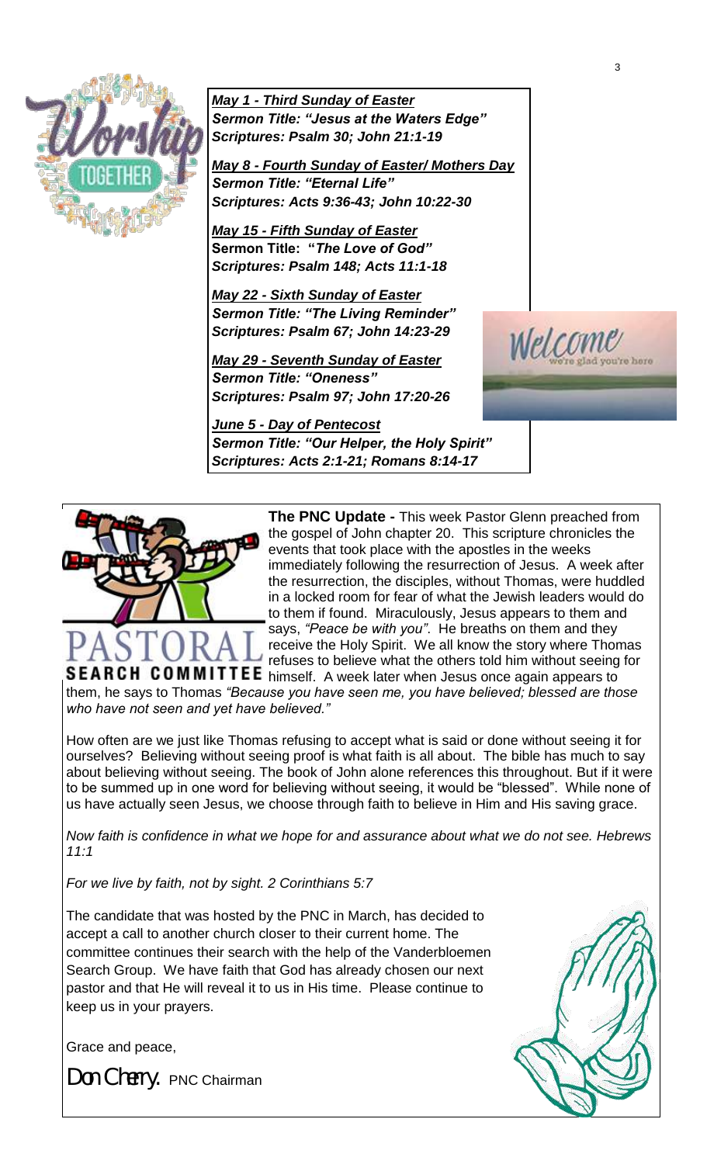

*May 1 - Third Sunday of Easter Sermon Title: "Jesus at the Waters Edge" Scriptures: Psalm 30; John 21:1-19*

*May 8 - Fourth Sunday of Easter/ Mothers Day* *Sermon Title: "Eternal Life" Scriptures: Acts 9:36-43; John 10:22-30*

*May 15 - Fifth Sunday of Easter*  **Sermon Title: "***The Love of God" Scriptures: Psalm 148; Acts 11:1-18*

*May 22 - Sixth Sunday of Easter Sermon Title: "The Living Reminder" Scriptures: Psalm 67; John 14:23-29*

*May 29 - Seventh Sunday of Easter Sermon Title: "Oneness" Scriptures: Psalm 97; John 17:20-26*

*June 5 - Day of Pentecost Sermon Title: "Our Helper, the Holy Spirit" Scriptures: Acts 2:1-21; Romans 8:14-17*



**The PNC Update -** This week Pastor Glenn preached from the gospel of John chapter 20. This scripture chronicles the events that took place with the apostles in the weeks immediately following the resurrection of Jesus. A week after the resurrection, the disciples, without Thomas, were huddled in a locked room for fear of what the Jewish leaders would do to them if found. Miraculously, Jesus appears to them and says, *"Peace be with you"*. He breaths on them and they receive the Holy Spirit. We all know the story where Thomas refuses to believe what the others told him without seeing for

SEARCH COMMITTEE himself. A week later when Jesus once again appears to them, he says to Thomas *"Because you have seen me, you have believed; blessed are those who have not seen and yet have believed."*

How often are we just like Thomas refusing to accept what is said or done without seeing it for ourselves? Believing without seeing proof is what faith is all about. The bible has much to say about believing without seeing. The book of John alone references this throughout. But if it were to be summed up in one word for believing without seeing, it would be "blessed". While none of us have actually seen Jesus, we choose through faith to believe in Him and His saving grace.

*Now faith is confidence in what we hope for and assurance about what we do not see. Hebrews 11:1*

*For we live by faith, not by sight. 2 Corinthians 5:7*

The candidate that was hosted by the PNC in March, has decided to accept a call to another church closer to their current home. The committee continues their search with the help of the Vanderbloemen Search Group. We have faith that God has already chosen our next pastor and that He will reveal it to us in His time. Please continue to keep us in your prayers.

Grace and peace,

*Don Cherry.* PNC Chairman



Welcom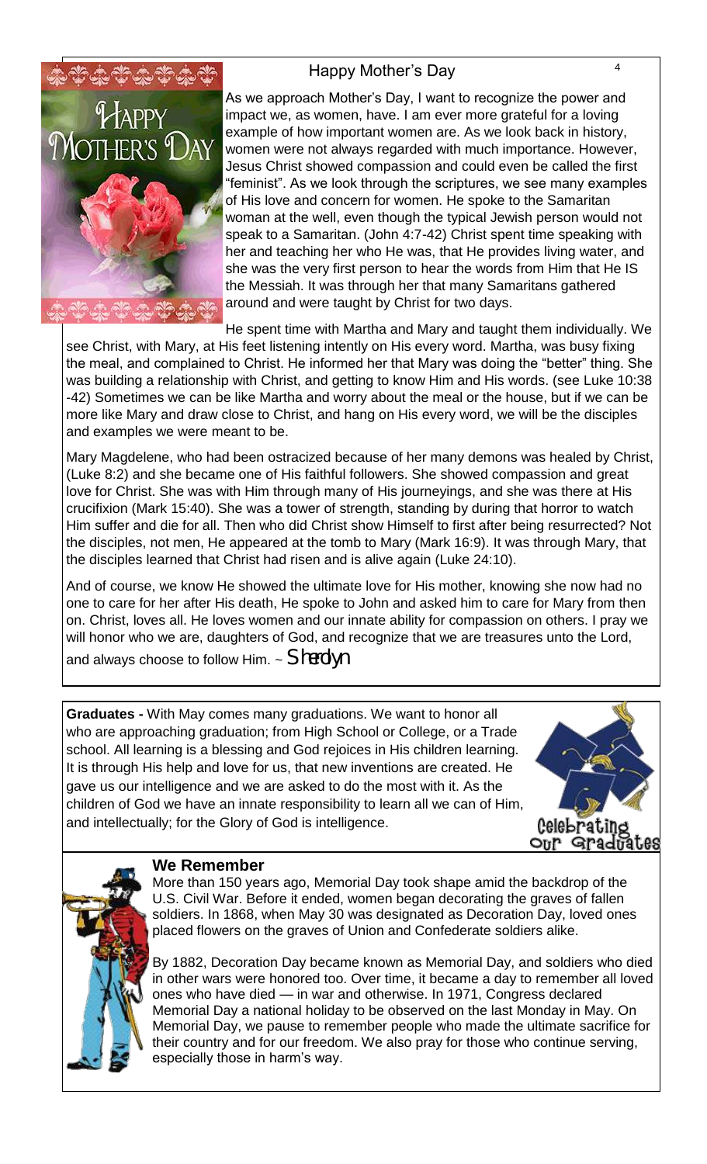### Happy Mother's Day 44



As we approach Mother's Day, I want to recognize the power and impact we, as women, have. I am ever more grateful for a loving example of how important women are. As we look back in history, women were not always regarded with much importance. However, Jesus Christ showed compassion and could even be called the first "feminist". As we look through the scriptures, we see many examples of His love and concern for women. He spoke to the Samaritan woman at the well, even though the typical Jewish person would not speak to a Samaritan. (John 4:7-42) Christ spent time speaking with her and teaching her who He was, that He provides living water, and she was the very first person to hear the words from Him that He IS the Messiah. It was through her that many Samaritans gathered around and were taught by Christ for two days.

He spent time with Martha and Mary and taught them individually. We

see Christ, with Mary, at His feet listening intently on His every word. Martha, was busy fixing the meal, and complained to Christ. He informed her that Mary was doing the "better" thing. She was building a relationship with Christ, and getting to know Him and His words. (see Luke 10:38 -42) Sometimes we can be like Martha and worry about the meal or the house, but if we can be more like Mary and draw close to Christ, and hang on His every word, we will be the disciples and examples we were meant to be.

Mary Magdelene, who had been ostracized because of her many demons was healed by Christ, (Luke 8:2) and she became one of His faithful followers. She showed compassion and great love for Christ. She was with Him through many of His journeyings, and she was there at His crucifixion (Mark 15:40). She was a tower of strength, standing by during that horror to watch Him suffer and die for all. Then who did Christ show Himself to first after being resurrected? Not the disciples, not men, He appeared at the tomb to Mary (Mark 16:9). It was through Mary, that the disciples learned that Christ had risen and is alive again (Luke 24:10).

And of course, we know He showed the ultimate love for His mother, knowing she now had no one to care for her after His death, He spoke to John and asked him to care for Mary from then on. Christ, loves all. He loves women and our innate ability for compassion on others. I pray we will honor who we are, daughters of God, and recognize that we are treasures unto the Lord, and always choose to follow Him. ~ *Sherolyn* 

**Graduates -** With May comes many graduations. We want to honor all who are approaching graduation; from High School or College, or a Trade school. All learning is a blessing and God rejoices in His children learning. It is through His help and love for us, that new inventions are created. He gave us our intelligence and we are asked to do the most with it. As the children of God we have an innate responsibility to learn all we can of Him, and intellectually; for the Glory of God is intelligence.





### **We Remember**

More than 150 years ago, Memorial Day took shape amid the backdrop of the U.S. Civil War. Before it ended, women began decorating the graves of fallen soldiers. In 1868, when May 30 was designated as Decoration Day, loved ones placed flowers on the graves of Union and Confederate soldiers alike.

By 1882, Decoration Day became known as Memorial Day, and soldiers who died in other wars were honored too. Over time, it became a day to remember all loved ones who have died — in war and otherwise. In 1971, Congress declared Memorial Day a national holiday to be observed on the last Monday in May. On Memorial Day, we pause to remember people who made the ultimate sacrifice for their country and for our freedom. We also pray for those who continue serving, especially those in harm's way.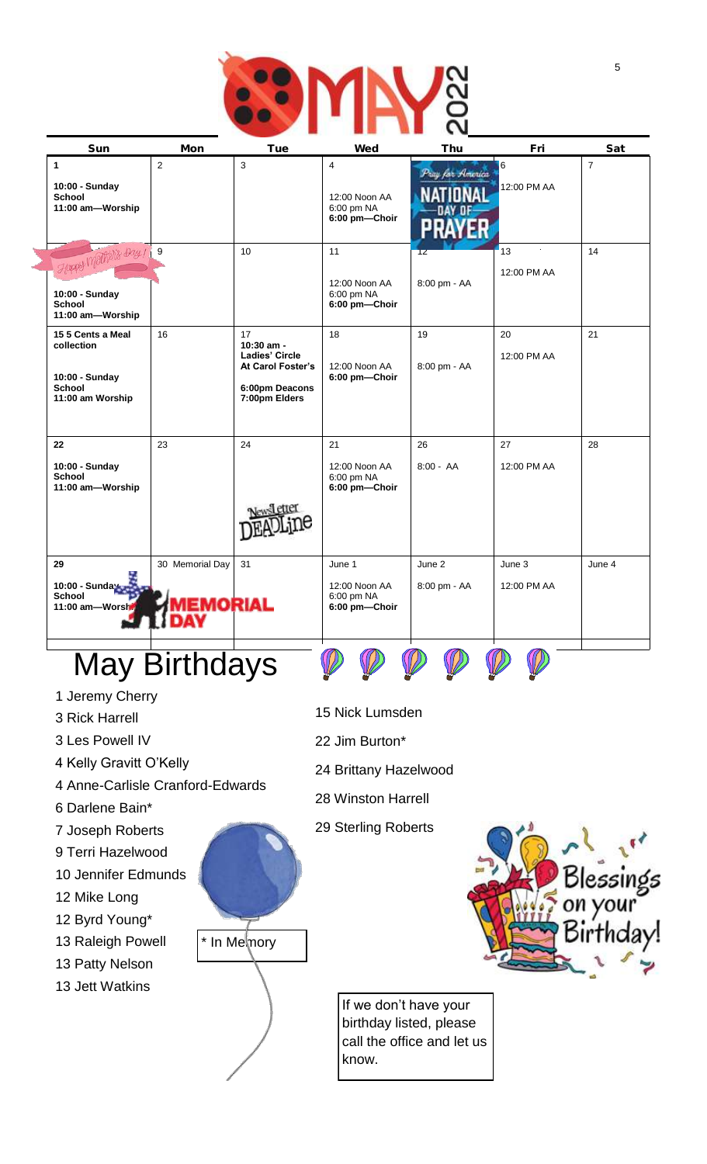

| Sun                                                                                    | Mon                        | Tue                                                                                        | Wed                                                            | Thu                    | Fri                   | Sat            |
|----------------------------------------------------------------------------------------|----------------------------|--------------------------------------------------------------------------------------------|----------------------------------------------------------------|------------------------|-----------------------|----------------|
| $\mathbf{1}$<br>10:00 - Sunday<br><b>School</b><br>11:00 am-Worship                    | $\overline{2}$             | 3                                                                                          | $\overline{4}$<br>12:00 Noon AA<br>6:00 pm NA<br>6:00 pm-Choir | Pray for America       | 6<br>12:00 PM AA      | $\overline{7}$ |
| Happy Mathelis Day 1<br>10:00 - Sunday<br><b>School</b><br>11:00 am-Worship            | 9                          | 10                                                                                         | 11<br>12:00 Noon AA<br>6:00 pm NA<br>6:00 pm-Choir             | 12<br>8:00 pm - AA     | 13<br>12:00 PM AA     | 14             |
| 15 5 Cents a Meal<br>collection<br>10:00 - Sunday<br><b>School</b><br>11:00 am Worship | 16                         | 17<br>10:30 am -<br>Ladies' Circle<br>At Carol Foster's<br>6:00pm Deacons<br>7:00pm Elders | 18<br>12:00 Noon AA<br>6:00 pm-Choir                           | 19<br>8:00 pm - AA     | 20<br>12:00 PM AA     | 21             |
| 22<br>10:00 - Sunday<br><b>School</b><br>11:00 am-Worship                              | 23                         | 24                                                                                         | 21<br>12:00 Noon AA<br>6:00 pm NA<br>6:00 pm-Choir             | 26<br>$8:00 - AA$      | 27<br>12:00 PM AA     | 28             |
| 29<br>10:00 - Sunday<br><b>School</b><br>11:00 am-Worsh                                | 30 Memorial Day<br>EMORIAL | 31                                                                                         | June 1<br>12:00 Noon AA<br>6:00 pm NA<br>6:00 pm-Choir         | June 2<br>8:00 pm - AA | June 3<br>12:00 PM AA | June 4         |

# May Birthdays

- 1 Jeremy Cherry
- 3 Rick Harrell
- 3 Les Powell IV
- 4 Kelly Gravitt O'Kelly
- 4 Anne-Carlisle Cranford-Edwards
- 6 Darlene Bain\*
- 7 Joseph Roberts
- 9 Terri Hazelwood
- 10 Jennifer Edmunds
- 12 Mike Long
- 12 Byrd Young\*
- 13 Raleigh Powell
- 13 Patty Nelson
- 13 Jett Watkins





- 
- 22 Jim Burton\*
- 24 Brittany Hazelwood
- 28 Winston Harrell
- 29 Sterling Roberts



If we don't have your birthday listed, please call the office and let us know.